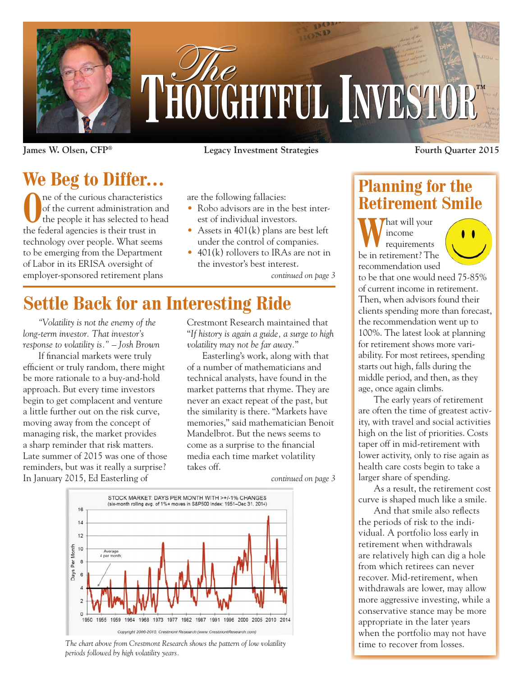

# THOUGHTFUL INVESTOR®

**James W. Olsen, CFP® Legacy Investment Strategies Fourth Quarter 2015**

**We Beg to Differ…**

The of the curious characteristics<br>of the current administration and<br>the people it has selected to head of the current administration and the people it has selected to head the federal agencies is their trust in technology over people. What seems to be emerging from the Department of Labor in its ERISA oversight of employer-sponsored retirement plans

are the following fallacies:

- Robo advisors are in the best interest of individual investors.
- Assets in 401(k) plans are best left under the control of companies.
- 401(k) rollovers to IRAs are not in the investor's best interest.

*continued on page 3*

# **Settle Back for an Interesting Ride**

*"Volatility is not the enemy of the long-term investor. That investor's response to volatility is." – Josh Brown*

If financial markets were truly efficient or truly random, there might be more rationale to a buy-and-hold approach. But every time investors begin to get complacent and venture a little further out on the risk curve, moving away from the concept of managing risk, the market provides a sharp reminder that risk matters. Late summer of 2015 was one of those reminders, but was it really a surprise? In January 2015, Ed Easterling of

Crestmont Research maintained that "*If history is again a guide, a surge to high volatility may not be far away.*"

Easterling's work, along with that of a number of mathematicians and technical analysts, have found in the market patterns that rhyme. They are never an exact repeat of the past, but the similarity is there. "Markets have memories," said mathematician Benoit Mandelbrot. But the news seems to come as a surprise to the financial media each time market volatility takes off.

*continued on page 3*



*The chart above from Crestmont Research shows the pattern of low volatility periods followed by high volatility years.*

## **Planning for the Retirement Smile**

**That will your** income requirements be in retirement? The recommendation used to be that one would need 75-85% of current income in retirement. Then, when advisors found their clients spending more than forecast, the recommendation went up to 100%. The latest look at planning for retirement shows more variability. For most retirees, spending starts out high, falls during the middle period, and then, as they age, once again climbs.

The early years of retirement are often the time of greatest activity, with travel and social activities high on the list of priorities. Costs taper off in mid-retirement with lower activity, only to rise again as health care costs begin to take a larger share of spending.

As a result, the retirement cost curve is shaped much like a smile.

And that smile also reflects the periods of risk to the individual. A portfolio loss early in retirement when withdrawals are relatively high can dig a hole from which retirees can never recover. Mid-retirement, when withdrawals are lower, may allow more aggressive investing, while a conservative stance may be more appropriate in the later years when the portfolio may not have time to recover from losses.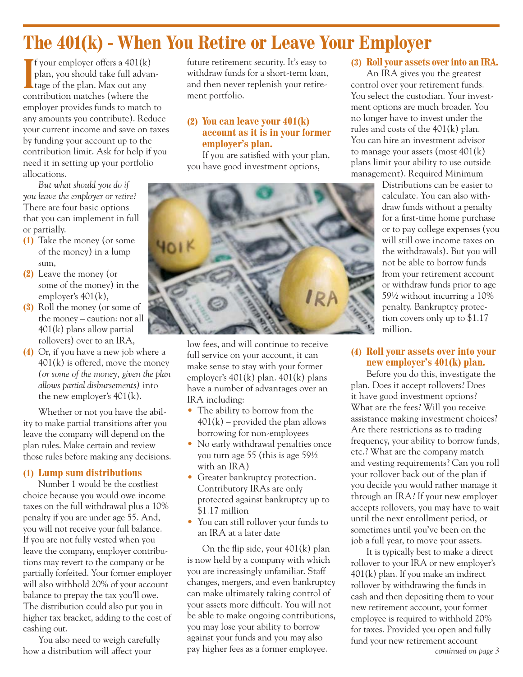# **The 401(k) - When You Retire or Leave Your Employer**

I your employer offers a 401(k)<br>
plan, you should take full adva<br>
tage of the plan. Max out any  $\int$  f your employer offers a 401(k) plan, you should take full advancontribution matches (where the employer provides funds to match to any amounts you contribute). Reduce your current income and save on taxes by funding your account up to the contribution limit. Ask for help if you need it in setting up your portfolio allocations.

*But what should you do if you leave the employer or retire?*  There are four basic options that you can implement in full or partially.

- **(1)** Take the money (or some of the money) in a lump sum,
- **(2)** Leave the money (or some of the money) in the employer's 401(k),
- **(3)** Roll the money (or some of the money – caution: not all 401(k) plans allow partial rollovers) over to an IRA,
- **(4)** Or, if you have a new job where a 401(k) is offered, move the money *(or some of the money, given the plan allows partial disbursements)* into the new employer's 401(k).

Whether or not you have the ability to make partial transitions after you leave the company will depend on the plan rules. Make certain and review those rules before making any decisions.

#### **(1) Lump sum distributions**

Number 1 would be the costliest choice because you would owe income taxes on the full withdrawal plus a 10% penalty if you are under age 55. And, you will not receive your full balance. If you are not fully vested when you leave the company, employer contributions may revert to the company or be partially forfeited. Your former employer will also withhold 20% of your account balance to prepay the tax you'll owe. The distribution could also put you in higher tax bracket, adding to the cost of cashing out.

You also need to weigh carefully how a distribution will affect your

future retirement security. It's easy to withdraw funds for a short-term loan, and then never replenish your retirement portfolio.

#### **(2) You can leave your 401(k) account as it is in your former employer's plan.**

If you are satisfied with your plan, you have good investment options,



low fees, and will continue to receive full service on your account, it can make sense to stay with your former employer's 401(k) plan. 401(k) plans have a number of advantages over an IRA including:

- The ability to borrow from the  $401(k)$  – provided the plan allows borrowing for non-employees
- No early withdrawal penalties once you turn age 55 (this is age 59½ with an IRA)
- Greater bankruptcy protection. Contributory IRAs are only protected against bankruptcy up to \$1.17 million
- You can still rollover your funds to an IRA at a later date

On the flip side, your 401(k) plan is now held by a company with which you are increasingly unfamiliar. Staff changes, mergers, and even bankruptcy can make ultimately taking control of your assets more difficult. You will not be able to make ongoing contributions, you may lose your ability to borrow against your funds and you may also pay higher fees as a former employee. *continued on page 3*

#### **(3) Roll your assets over into an IRA.**

An IRA gives you the greatest control over your retirement funds. You select the custodian. Your investment options are much broader. You no longer have to invest under the rules and costs of the 401(k) plan. You can hire an investment advisor to manage your assets (most 401(k) plans limit your ability to use outside management). Required Minimum

Distributions can be easier to calculate. You can also withdraw funds without a penalty for a first-time home purchase or to pay college expenses (you will still owe income taxes on the withdrawals). But you will not be able to borrow funds from your retirement account or withdraw funds prior to age 59½ without incurring a 10% penalty. Bankruptcy protection covers only up to \$1.17 million.

#### **(4) Roll your assets over into your new employer's 401(k) plan.**

Before you do this, investigate the plan. Does it accept rollovers? Does it have good investment options? What are the fees? Will you receive assistance making investment choices? Are there restrictions as to trading frequency, your ability to borrow funds, etc.? What are the company match and vesting requirements? Can you roll your rollover back out of the plan if you decide you would rather manage it through an IRA? If your new employer accepts rollovers, you may have to wait until the next enrollment period, or sometimes until you've been on the job a full year, to move your assets.

It is typically best to make a direct rollover to your IRA or new employer's 401(k) plan. If you make an indirect rollover by withdrawing the funds in cash and then depositing them to your new retirement account, your former employee is required to withhold 20% for taxes. Provided you open and fully fund your new retirement account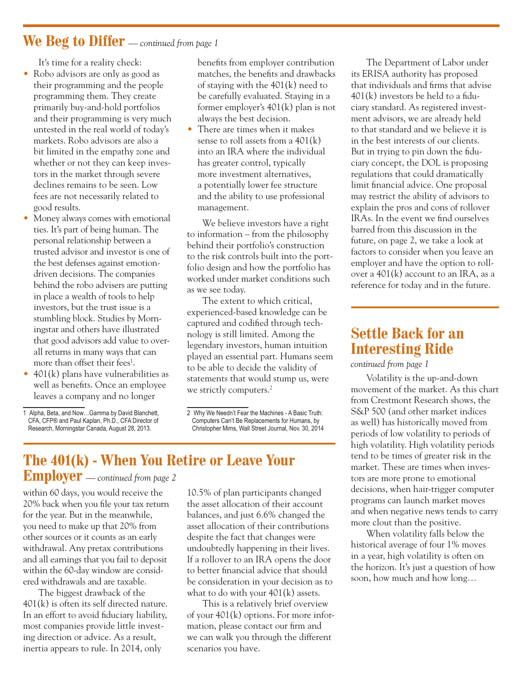## **We Beg to Differ** *— continued from page 1*

It's time for a reality check:

- Robo advisors are only as good as their programming and the people programming them. They create primarily buy-and-hold portfolios and their programming is very much untested in the real world of today's markets. Robo advisors are also a bit limited in the empathy zone and whether or not they can keep investors in the market through severe declines remains to be seen. Low fees are not necessarily related to good results.
- Money always comes with emotional ties. It's part of being human. The personal relationship between a trusted advisor and investor is one of the best defenses against emotiondriven decisions. The companies behind the robo advisers are putting in place a wealth of tools to help investors, but the trust issue is a stumbling block. Studies by Morningstar and others have illustrated that good advisors add value to overall returns in many ways that can more than offset their fees<sup>1</sup>.
- 401(k) plans have vulnerabilities as well as benefits. Once an employee leaves a company and no longer
- benefits from employer contribution matches, the benefits and drawbacks of staying with the 401(k) need to be carefully evaluated. Staying in a former employer's 401(k) plan is not always the best decision.
- There are times when it makes sense to roll assets from a 401(k) into an IRA where the individual has greater control, typically more investment alternatives, a potentially lower fee structure and the ability to use professional management.

We believe investors have a right to information – from the philosophy behind their portfolio's construction to the risk controls built into the portfolio design and how the portfolio has worked under market conditions such as we see today.

The extent to which critical, experienced-based knowledge can be captured and codified through technology is still limited. Among the legendary investors, human intuition played an essential part. Humans seem to be able to decide the validity of statements that would stump us, were we strictly computers.<sup>2</sup>

### **The 401(k) - When You Retire or Leave Your Employer** *— continued from page 2*

within 60 days, you would receive the 20% back when you file your tax return for the year. But in the meanwhile, you need to make up that 20% from other sources or it counts as an early withdrawal. Any pretax contributions and all earnings that you fail to deposit within the 60-day window are considered withdrawals and are taxable.

The biggest drawback of the 401(k) is often its self directed nature. In an effort to avoid fiduciary liability, most companies provide little investing direction or advice. As a result, inertia appears to rule. In 2014, only

10.5% of plan participants changed the asset allocation of their account balances, and just 6.6% changed the asset allocation of their contributions despite the fact that changes were undoubtedly happening in their lives. If a rollover to an IRA opens the door to better financial advice that should be consideration in your decision as to what to do with your 401(k) assets.

This is a relatively brief overview of your 401(k) options. For more information, please contact our firm and we can walk you through the different scenarios you have.

The Department of Labor under its ERISA authority has proposed that individuals and firms that advise  $401(k)$  investors be held to a fiduciary standard. As registered investment advisors, we are already held to that standard and we believe it is in the best interests of our clients. But in trying to pin down the fiduciary concept, the DOL is proposing regulations that could dramatically limit financial advice. One proposal may restrict the ability of advisors to explain the pros and cons of rollover IRAs. In the event we find ourselves barred from this discussion in the future, on page 2, we take a look at factors to consider when you leave an employer and have the option to rollover a 401(k) account to an IRA, as a reference for today and in the future.

## **Settle Back for an Interesting Ride**

*continued from page 1*

Volatility is the up-and-down movement of the market. As this chart from Crestmont Research shows, the S&P 500 (and other market indices as well) has historically moved from periods of low volatility to periods of high volatility. High volatility periods tend to be times of greater risk in the market. These are times when investors are more prone to emotional decisions, when hair-trigger computer programs can launch market moves and when negative news tends to carry more clout than the positive.

When volatility falls below the historical average of four 1% moves in a year, high volatility is often on the horizon. It's just a question of how soon, how much and how long…

<sup>1</sup> Alpha, Beta, and Now...Gamma by David Blanchett. CFA, CFP® and Paul Kaplan, Ph.D., CFA Director of Research, Morningstar Canada, August 28, 2013.

<sup>2</sup> Why We Needn't Fear the Machines - A Basic Truth: Computers Can't Be Replacements for Humans, by Christopher Mims. Wall Street Journal, Nov. 30, 2014